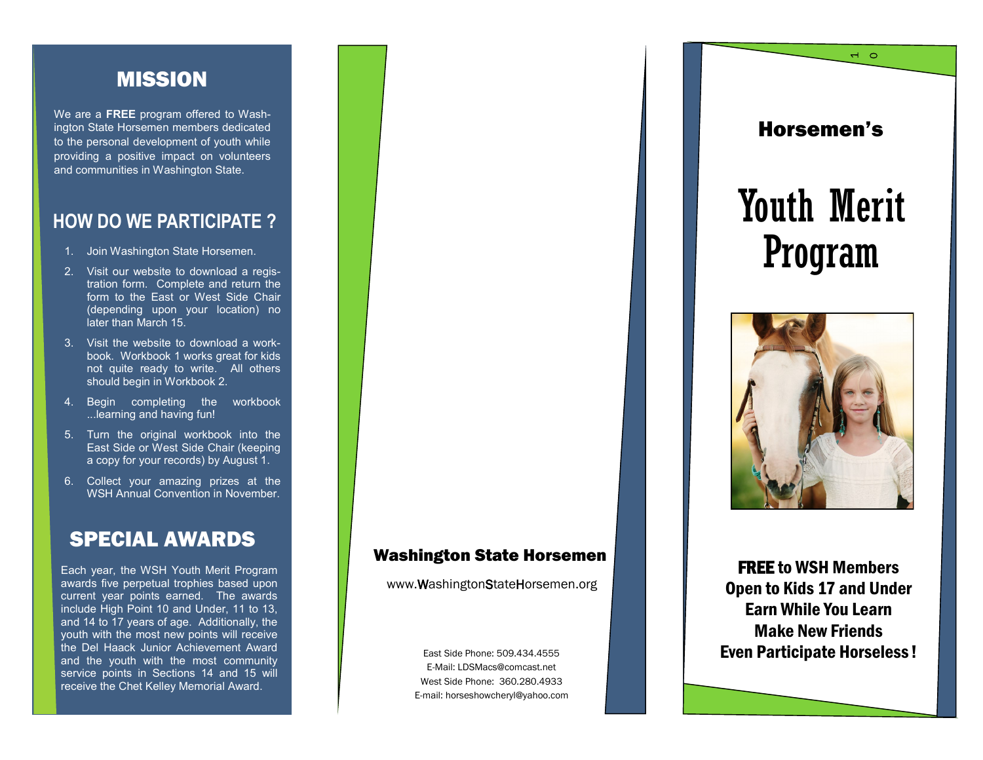### MISSION

We are a **FREE** program offered to Washington State Horsemen members dedicated to the personal development of youth while providing a positive impact on volunteers and communities in Washington State.

### **HOW DO WE PARTICIPATE ?**

- 1. Join Washington State Horsemen.
- 2. Visit our website to download a registration form. Complete and return the form to the East or West Side Chair (depending upon your location) no later than March 15.
- 3. Visit the website to download a workbook. Workbook 1 works great for kids not quite ready to write. All others should begin in Workbook 2.
- 4. Begin completing the workbook ...learning and having fun!
- 5. Turn the original workbook into the East Side or West Side Chair (keeping a copy for your records) by August 1.
- 6. Collect your amazing prizes at the WSH Annual Convention in November.

### SPECIAL AWARDS

Each year, the WSH Youth Merit Program awards five perpetual trophies based upon current year points earned. The awards include High Point 10 and Under, 11 to 13, and 14 to 17 years of age. Additionally, the youth with the most new points will receive the Del Haack Junior Achievement Award and the youth with the most community service points in Sections 14 and 15 will receive the Chet Kelley Memorial Award.

# Washington State Horsemen **FREE** to WSH Members

www.WashingtonStateHorsemen.org

East Side Phone: 509.434.4555 E-Mail: LDSMacs@comcast.net West Side Phone: 360.280.4933 E-mail: horseshowcheryl@yahoo.com Horsemen's

 $\overline{a}$ 

# Youth Merit Program



Open to Kids 17 and Under Earn While You Learn Make New Friends Even Participate Horseless !